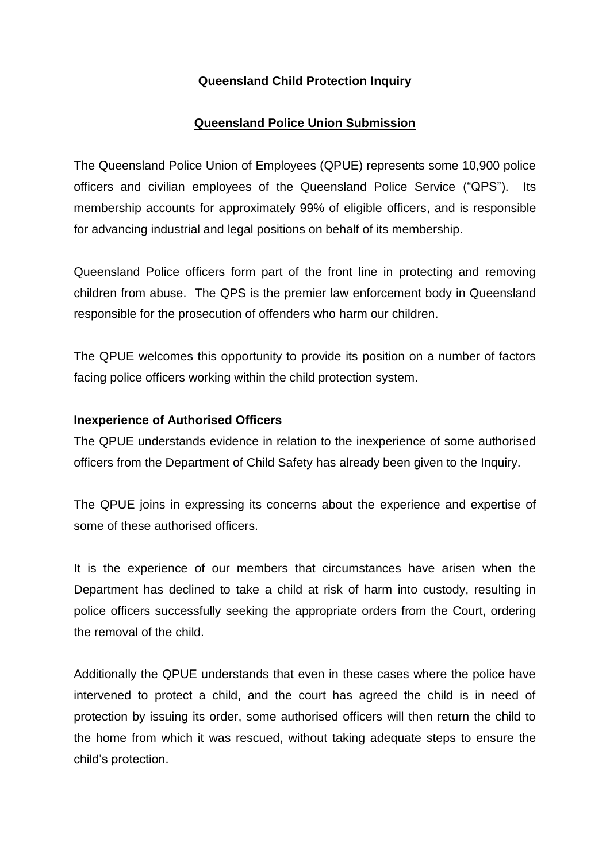# **Queensland Child Protection Inquiry**

## **Queensland Police Union Submission**

The Queensland Police Union of Employees (QPUE) represents some 10,900 police officers and civilian employees of the Queensland Police Service ("QPS"). Its membership accounts for approximately 99% of eligible officers, and is responsible for advancing industrial and legal positions on behalf of its membership.

Queensland Police officers form part of the front line in protecting and removing children from abuse. The QPS is the premier law enforcement body in Queensland responsible for the prosecution of offenders who harm our children.

The QPUE welcomes this opportunity to provide its position on a number of factors facing police officers working within the child protection system.

### **Inexperience of Authorised Officers**

The QPUE understands evidence in relation to the inexperience of some authorised officers from the Department of Child Safety has already been given to the Inquiry.

The QPUE joins in expressing its concerns about the experience and expertise of some of these authorised officers.

It is the experience of our members that circumstances have arisen when the Department has declined to take a child at risk of harm into custody, resulting in police officers successfully seeking the appropriate orders from the Court, ordering the removal of the child.

Additionally the QPUE understands that even in these cases where the police have intervened to protect a child, and the court has agreed the child is in need of protection by issuing its order, some authorised officers will then return the child to the home from which it was rescued, without taking adequate steps to ensure the child's protection.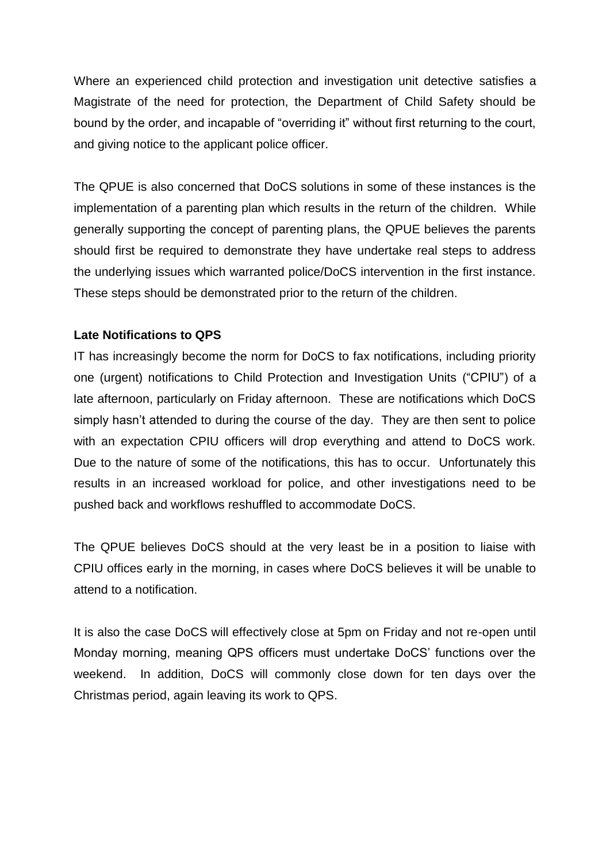Where an experienced child protection and investigation unit detective satisfies a Magistrate of the need for protection, the Department of Child Safety should be bound by the order, and incapable of "overriding it" without first returning to the court, and giving notice to the applicant police officer.

The QPUE is also concerned that DoCS solutions in some of these instances is the implementation of a parenting plan which results in the return of the children. While generally supporting the concept of parenting plans, the QPUE believes the parents should first be required to demonstrate they have undertake real steps to address the underlying issues which warranted police/DoCS intervention in the first instance. These steps should be demonstrated prior to the return of the children.

### **Late Notifications to QPS**

IT has increasingly become the norm for DoCS to fax notifications, including priority one (urgent) notifications to Child Protection and Investigation Units ("CPIU") of a late afternoon, particularly on Friday afternoon. These are notifications which DoCS simply hasn't attended to during the course of the day. They are then sent to police with an expectation CPIU officers will drop everything and attend to DoCS work. Due to the nature of some of the notifications, this has to occur. Unfortunately this results in an increased workload for police, and other investigations need to be pushed back and workflows reshuffled to accommodate DoCS.

The QPUE believes DoCS should at the very least be in a position to liaise with CPIU offices early in the morning, in cases where DoCS believes it will be unable to attend to a notification.

It is also the case DoCS will effectively close at 5pm on Friday and not re-open until Monday morning, meaning QPS officers must undertake DoCS' functions over the weekend. In addition, DoCS will commonly close down for ten days over the Christmas period, again leaving its work to QPS.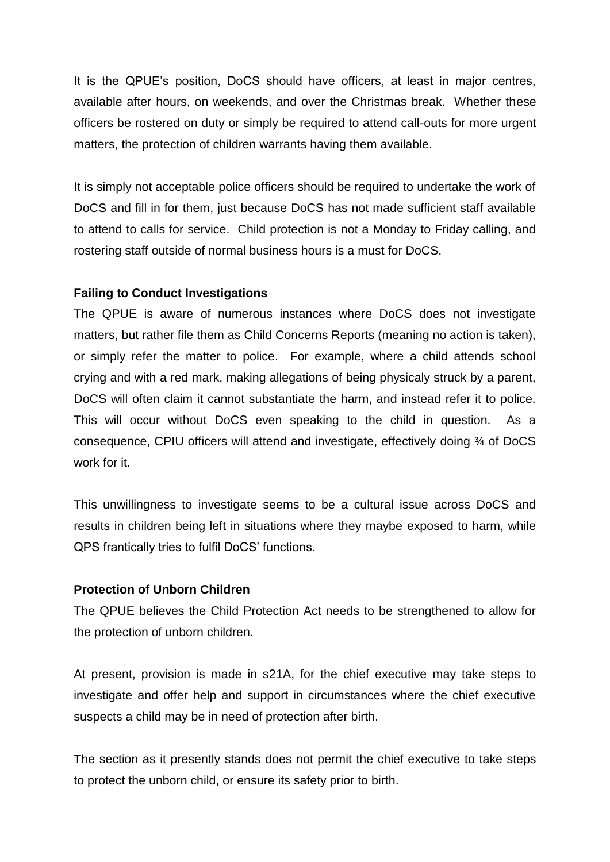It is the QPUE's position, DoCS should have officers, at least in major centres, available after hours, on weekends, and over the Christmas break. Whether these officers be rostered on duty or simply be required to attend call-outs for more urgent matters, the protection of children warrants having them available.

It is simply not acceptable police officers should be required to undertake the work of DoCS and fill in for them, just because DoCS has not made sufficient staff available to attend to calls for service. Child protection is not a Monday to Friday calling, and rostering staff outside of normal business hours is a must for DoCS.

### **Failing to Conduct Investigations**

The QPUE is aware of numerous instances where DoCS does not investigate matters, but rather file them as Child Concerns Reports (meaning no action is taken), or simply refer the matter to police. For example, where a child attends school crying and with a red mark, making allegations of being physicaly struck by a parent, DoCS will often claim it cannot substantiate the harm, and instead refer it to police. This will occur without DoCS even speaking to the child in question. As a consequence, CPIU officers will attend and investigate, effectively doing ¾ of DoCS work for it.

This unwillingness to investigate seems to be a cultural issue across DoCS and results in children being left in situations where they maybe exposed to harm, while QPS frantically tries to fulfil DoCS' functions.

### **Protection of Unborn Children**

The QPUE believes the Child Protection Act needs to be strengthened to allow for the protection of unborn children.

At present, provision is made in s21A, for the chief executive may take steps to investigate and offer help and support in circumstances where the chief executive suspects a child may be in need of protection after birth.

The section as it presently stands does not permit the chief executive to take steps to protect the unborn child, or ensure its safety prior to birth.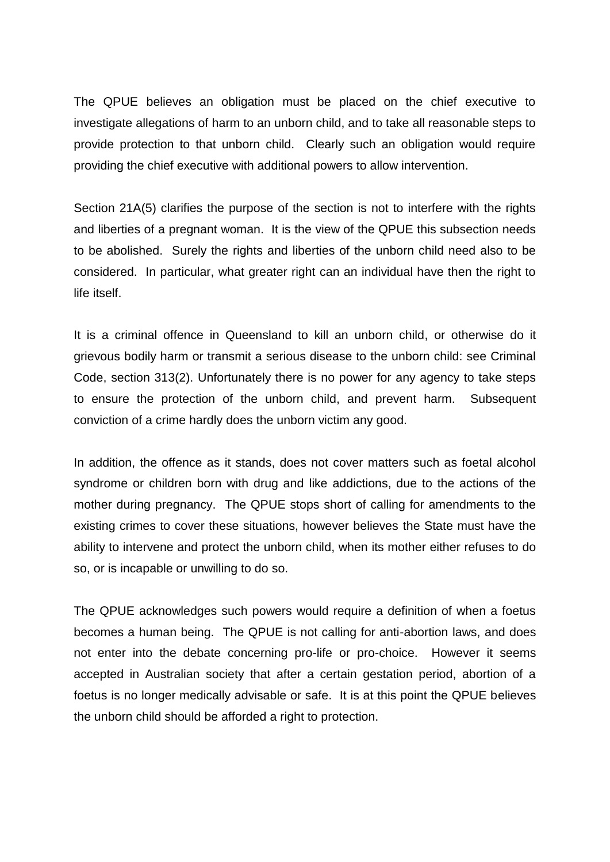The QPUE believes an obligation must be placed on the chief executive to investigate allegations of harm to an unborn child, and to take all reasonable steps to provide protection to that unborn child. Clearly such an obligation would require providing the chief executive with additional powers to allow intervention.

Section 21A(5) clarifies the purpose of the section is not to interfere with the rights and liberties of a pregnant woman. It is the view of the QPUE this subsection needs to be abolished. Surely the rights and liberties of the unborn child need also to be considered. In particular, what greater right can an individual have then the right to life itself.

It is a criminal offence in Queensland to kill an unborn child, or otherwise do it grievous bodily harm or transmit a serious disease to the unborn child: see Criminal Code, section 313(2). Unfortunately there is no power for any agency to take steps to ensure the protection of the unborn child, and prevent harm. Subsequent conviction of a crime hardly does the unborn victim any good.

In addition, the offence as it stands, does not cover matters such as foetal alcohol syndrome or children born with drug and like addictions, due to the actions of the mother during pregnancy. The QPUE stops short of calling for amendments to the existing crimes to cover these situations, however believes the State must have the ability to intervene and protect the unborn child, when its mother either refuses to do so, or is incapable or unwilling to do so.

The QPUE acknowledges such powers would require a definition of when a foetus becomes a human being. The QPUE is not calling for anti-abortion laws, and does not enter into the debate concerning pro-life or pro-choice. However it seems accepted in Australian society that after a certain gestation period, abortion of a foetus is no longer medically advisable or safe. It is at this point the QPUE believes the unborn child should be afforded a right to protection.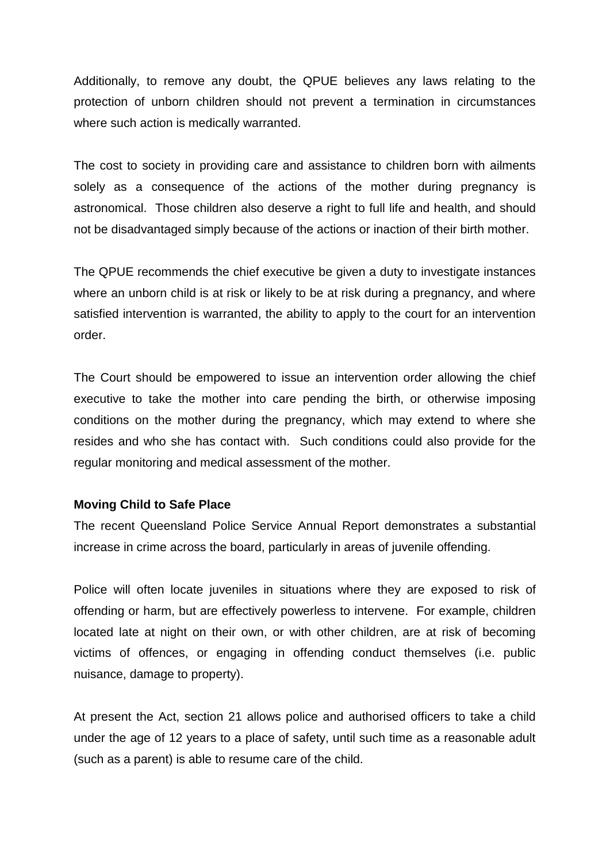Additionally, to remove any doubt, the QPUE believes any laws relating to the protection of unborn children should not prevent a termination in circumstances where such action is medically warranted.

The cost to society in providing care and assistance to children born with ailments solely as a consequence of the actions of the mother during pregnancy is astronomical. Those children also deserve a right to full life and health, and should not be disadvantaged simply because of the actions or inaction of their birth mother.

The QPUE recommends the chief executive be given a duty to investigate instances where an unborn child is at risk or likely to be at risk during a pregnancy, and where satisfied intervention is warranted, the ability to apply to the court for an intervention order.

The Court should be empowered to issue an intervention order allowing the chief executive to take the mother into care pending the birth, or otherwise imposing conditions on the mother during the pregnancy, which may extend to where she resides and who she has contact with. Such conditions could also provide for the regular monitoring and medical assessment of the mother.

### **Moving Child to Safe Place**

The recent Queensland Police Service Annual Report demonstrates a substantial increase in crime across the board, particularly in areas of juvenile offending.

Police will often locate juveniles in situations where they are exposed to risk of offending or harm, but are effectively powerless to intervene. For example, children located late at night on their own, or with other children, are at risk of becoming victims of offences, or engaging in offending conduct themselves (i.e. public nuisance, damage to property).

At present the Act, section 21 allows police and authorised officers to take a child under the age of 12 years to a place of safety, until such time as a reasonable adult (such as a parent) is able to resume care of the child.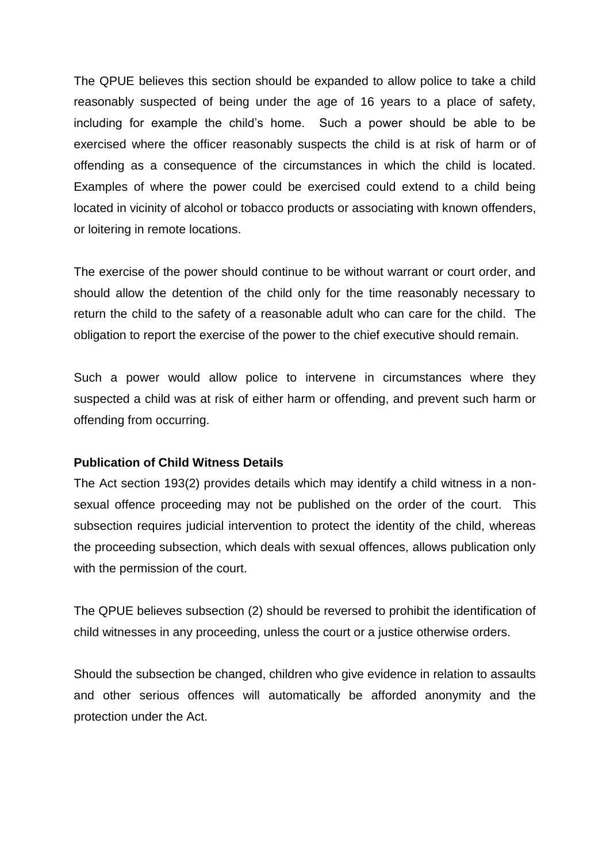The QPUE believes this section should be expanded to allow police to take a child reasonably suspected of being under the age of 16 years to a place of safety, including for example the child's home. Such a power should be able to be exercised where the officer reasonably suspects the child is at risk of harm or of offending as a consequence of the circumstances in which the child is located. Examples of where the power could be exercised could extend to a child being located in vicinity of alcohol or tobacco products or associating with known offenders, or loitering in remote locations.

The exercise of the power should continue to be without warrant or court order, and should allow the detention of the child only for the time reasonably necessary to return the child to the safety of a reasonable adult who can care for the child. The obligation to report the exercise of the power to the chief executive should remain.

Such a power would allow police to intervene in circumstances where they suspected a child was at risk of either harm or offending, and prevent such harm or offending from occurring.

### **Publication of Child Witness Details**

The Act section 193(2) provides details which may identify a child witness in a nonsexual offence proceeding may not be published on the order of the court. This subsection requires judicial intervention to protect the identity of the child, whereas the proceeding subsection, which deals with sexual offences, allows publication only with the permission of the court.

The QPUE believes subsection (2) should be reversed to prohibit the identification of child witnesses in any proceeding, unless the court or a justice otherwise orders.

Should the subsection be changed, children who give evidence in relation to assaults and other serious offences will automatically be afforded anonymity and the protection under the Act.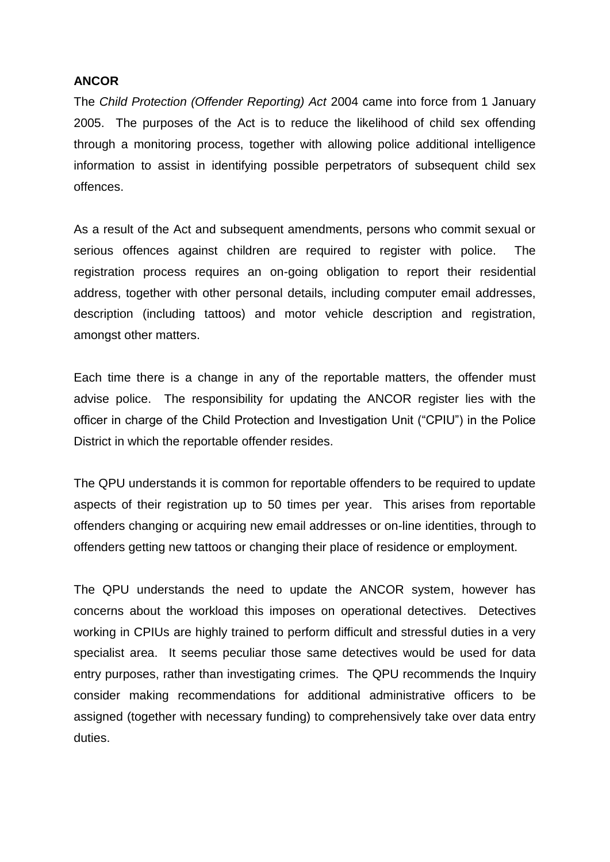### **ANCOR**

The *Child Protection (Offender Reporting) Act* 2004 came into force from 1 January 2005. The purposes of the Act is to reduce the likelihood of child sex offending through a monitoring process, together with allowing police additional intelligence information to assist in identifying possible perpetrators of subsequent child sex offences.

As a result of the Act and subsequent amendments, persons who commit sexual or serious offences against children are required to register with police. The registration process requires an on-going obligation to report their residential address, together with other personal details, including computer email addresses, description (including tattoos) and motor vehicle description and registration, amongst other matters.

Each time there is a change in any of the reportable matters, the offender must advise police. The responsibility for updating the ANCOR register lies with the officer in charge of the Child Protection and Investigation Unit ("CPIU") in the Police District in which the reportable offender resides.

The QPU understands it is common for reportable offenders to be required to update aspects of their registration up to 50 times per year. This arises from reportable offenders changing or acquiring new email addresses or on-line identities, through to offenders getting new tattoos or changing their place of residence or employment.

The QPU understands the need to update the ANCOR system, however has concerns about the workload this imposes on operational detectives. Detectives working in CPIUs are highly trained to perform difficult and stressful duties in a very specialist area. It seems peculiar those same detectives would be used for data entry purposes, rather than investigating crimes. The QPU recommends the Inquiry consider making recommendations for additional administrative officers to be assigned (together with necessary funding) to comprehensively take over data entry duties.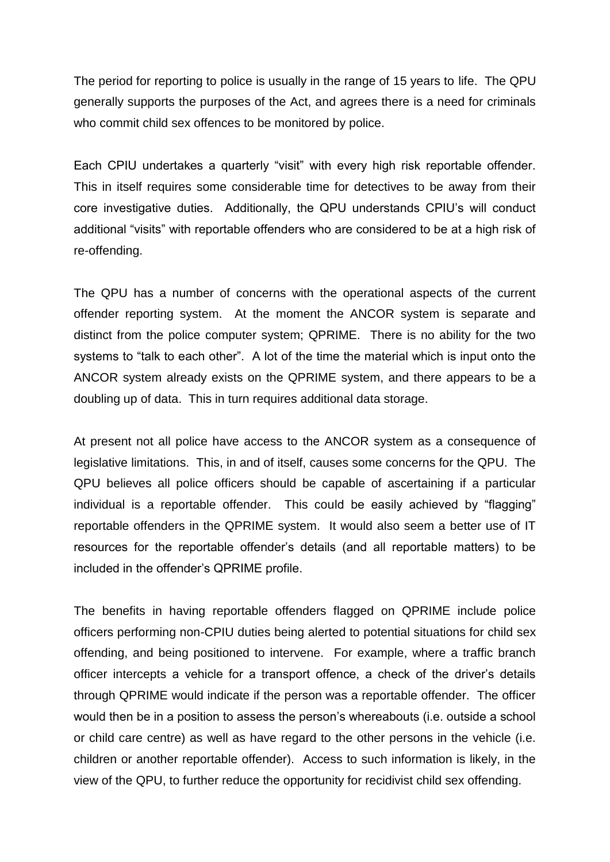The period for reporting to police is usually in the range of 15 years to life. The QPU generally supports the purposes of the Act, and agrees there is a need for criminals who commit child sex offences to be monitored by police.

Each CPIU undertakes a quarterly "visit" with every high risk reportable offender. This in itself requires some considerable time for detectives to be away from their core investigative duties. Additionally, the QPU understands CPIU's will conduct additional "visits" with reportable offenders who are considered to be at a high risk of re-offending.

The QPU has a number of concerns with the operational aspects of the current offender reporting system. At the moment the ANCOR system is separate and distinct from the police computer system; QPRIME. There is no ability for the two systems to "talk to each other". A lot of the time the material which is input onto the ANCOR system already exists on the QPRIME system, and there appears to be a doubling up of data. This in turn requires additional data storage.

At present not all police have access to the ANCOR system as a consequence of legislative limitations. This, in and of itself, causes some concerns for the QPU. The QPU believes all police officers should be capable of ascertaining if a particular individual is a reportable offender. This could be easily achieved by "flagging" reportable offenders in the QPRIME system. It would also seem a better use of IT resources for the reportable offender's details (and all reportable matters) to be included in the offender's QPRIME profile.

The benefits in having reportable offenders flagged on QPRIME include police officers performing non-CPIU duties being alerted to potential situations for child sex offending, and being positioned to intervene. For example, where a traffic branch officer intercepts a vehicle for a transport offence, a check of the driver's details through QPRIME would indicate if the person was a reportable offender. The officer would then be in a position to assess the person's whereabouts (i.e. outside a school or child care centre) as well as have regard to the other persons in the vehicle (i.e. children or another reportable offender). Access to such information is likely, in the view of the QPU, to further reduce the opportunity for recidivist child sex offending.